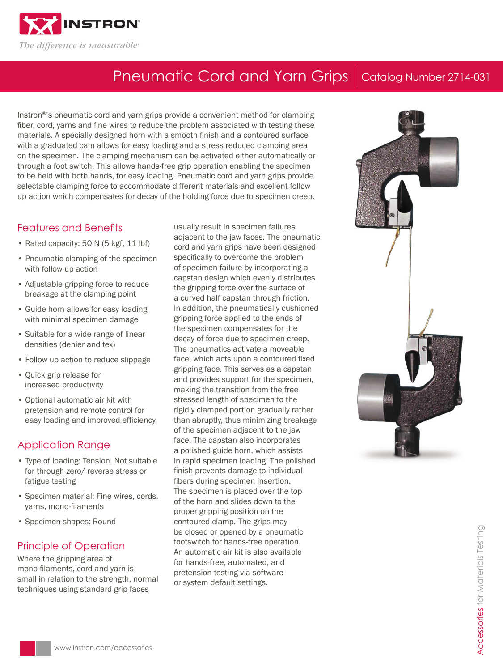

# Pneumatic Cord and Yarn Grips | Catalog Number 2714-031

Instron®'s pneumatic cord and yarn grips provide a convenient method for clamping fiber, cord, yarns and fine wires to reduce the problem associated with testing these materials. A specially designed horn with a smooth finish and a contoured surface with a graduated cam allows for easy loading and a stress reduced clamping area on the specimen. The clamping mechanism can be activated either automatically or through a foot switch. This allows hands-free grip operation enabling the specimen to be held with both hands, for easy loading. Pneumatic cord and yarn grips provide selectable clamping force to accommodate different materials and excellent follow up action which compensates for decay of the holding force due to specimen creep.

### Features and Benefits

- Rated capacity: 50 N (5 kgf, 11 lbf)
- Pneumatic clamping of the specimen with follow up action
- Adjustable gripping force to reduce breakage at the clamping point
- Guide horn allows for easy loading with minimal specimen damage
- Suitable for a wide range of linear densities (denier and tex)
- Follow up action to reduce slippage
- Quick grip release for increased productivity
- Optional automatic air kit with pretension and remote control for easy loading and improved efficiency

#### Application Range

- Type of loading: Tension. Not suitable for through zero/ reverse stress or fatigue testing
- Specimen material: Fine wires, cords, yarns, mono-filaments
- Specimen shapes: Round

#### Principle of Operation

Where the gripping area of mono-filaments, cord and yarn is small in relation to the strength, normal techniques using standard grip faces

usually result in specimen failures adjacent to the jaw faces. The pneumatic cord and yarn grips have been designed specifically to overcome the problem of specimen failure by incorporating a capstan design which evenly distributes the gripping force over the surface of a curved half capstan through friction. In addition, the pneumatically cushioned gripping force applied to the ends of the specimen compensates for the decay of force due to specimen creep. The pneumatics activate a moveable face, which acts upon a contoured fixed gripping face. This serves as a capstan and provides support for the specimen, making the transition from the free stressed length of specimen to the rigidly clamped portion gradually rather than abruptly, thus minimizing breakage of the specimen adjacent to the jaw face. The capstan also incorporates a polished guide horn, which assists in rapid specimen loading. The polished finish prevents damage to individual fibers during specimen insertion. The specimen is placed over the top of the horn and slides down to the proper gripping position on the contoured clamp. The grips may be closed or opened by a pneumatic footswitch for hands-free operation. An automatic air kit is also available for hands-free, automated, and pretension testing via software or system default settings.